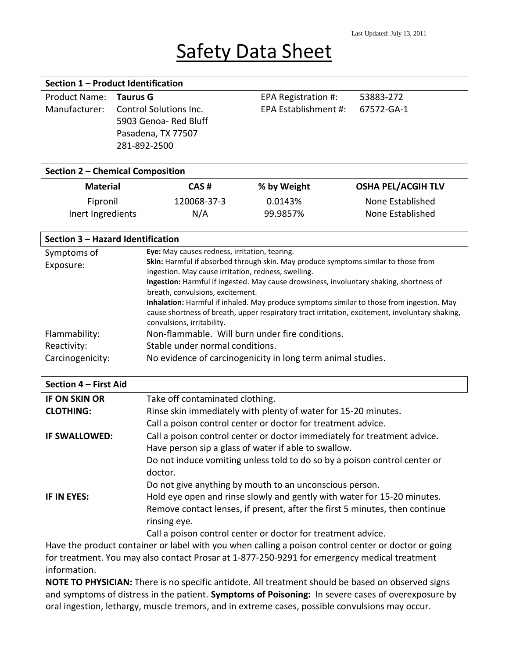# **Safety Data Sheet**

### **Section 1 – Product Identification**

| Product Name: Taurus G |                                      | EPA Registration #:  | 53883-272  |
|------------------------|--------------------------------------|----------------------|------------|
|                        | Manufacturer: Control Solutions Inc. | EPA Establishment #: | 67572-GA-1 |
|                        | 5903 Genoa-Red Bluff                 |                      |            |
|                        | Pasadena, TX 77507                   |                      |            |
|                        | 281-892-2500                         |                      |            |
|                        |                                      |                      |            |

#### **Section 2 – Chemical Composition**

| <b>Material</b>   | CAS#        | % by Weight | <b>OSHA PEL/ACGIH TLV</b> |  |
|-------------------|-------------|-------------|---------------------------|--|
| Fipronil          | 120068-37-3 | 0.0143%     | None Established          |  |
| Inert Ingredients | N/A         | 99.9857%    | None Established          |  |

### **Section 3 – Hazard Identification**

| Symptoms of           | Eye: May causes redness, irritation, tearing.                                                                                                                                                                              |
|-----------------------|----------------------------------------------------------------------------------------------------------------------------------------------------------------------------------------------------------------------------|
| Exposure:             | Skin: Harmful if absorbed through skin. May produce symptoms similar to those from                                                                                                                                         |
|                       | ingestion. May cause irritation, redness, swelling.                                                                                                                                                                        |
|                       | Ingestion: Harmful if ingested. May cause drowsiness, involuntary shaking, shortness of                                                                                                                                    |
|                       | breath, convulsions, excitement.                                                                                                                                                                                           |
|                       | Inhalation: Harmful if inhaled. May produce symptoms similar to those from ingestion. May<br>cause shortness of breath, upper respiratory tract irritation, excitement, involuntary shaking,<br>convulsions, irritability. |
| Flammability:         | Non-flammable. Will burn under fire conditions.                                                                                                                                                                            |
| Reactivity:           | Stable under normal conditions.                                                                                                                                                                                            |
| Carcinogenicity:      | No evidence of carcinogenicity in long term animal studies.                                                                                                                                                                |
|                       |                                                                                                                                                                                                                            |
|                       |                                                                                                                                                                                                                            |
| Section 4 - First Aid |                                                                                                                                                                                                                            |
| <b>IF ON SKIN OR</b>  | Take off contaminated clothing.                                                                                                                                                                                            |
| <b>CLOTHING:</b>      | Rinse skin immediately with plenty of water for 15-20 minutes.                                                                                                                                                             |
|                       | Call a poison control center or doctor for treatment advice.                                                                                                                                                               |
| IF SWALLOWED:         | Call a poison control center or doctor immediately for treatment advice.                                                                                                                                                   |
|                       | Have person sip a glass of water if able to swallow.                                                                                                                                                                       |
|                       | Do not induce vomiting unless told to do so by a poison control center or                                                                                                                                                  |
|                       | doctor.                                                                                                                                                                                                                    |
|                       |                                                                                                                                                                                                                            |
| <b>IF IN EYES:</b>    | Do not give anything by mouth to an unconscious person.                                                                                                                                                                    |
|                       | Hold eye open and rinse slowly and gently with water for 15-20 minutes.<br>Remove contact lenses, if present, after the first 5 minutes, then continue                                                                     |

Call a poison control center or doctor for treatment advice.

Have the product container or label with you when calling a poison control center or doctor or going for treatment. You may also contact Prosar at 1-877-250-9291 for emergency medical treatment information.

rinsing eye.

**NOTE TO PHYSICIAN:** There is no specific antidote. All treatment should be based on observed signs and symptoms of distress in the patient. **Symptoms of Poisoning:** In severe cases of overexposure by oral ingestion, lethargy, muscle tremors, and in extreme cases, possible convulsions may occur.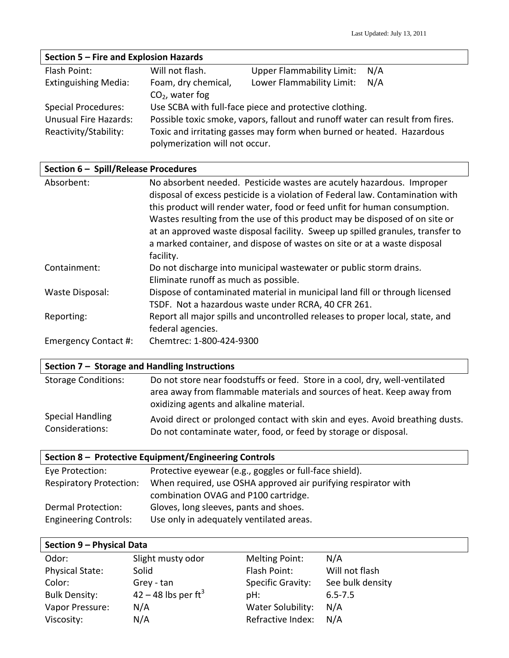| Section 5 - Fire and Explosion Hazards |                                                                               |                                                                       |     |
|----------------------------------------|-------------------------------------------------------------------------------|-----------------------------------------------------------------------|-----|
| Flash Point:                           | Will not flash.                                                               | <b>Upper Flammability Limit:</b>                                      | N/A |
| <b>Extinguishing Media:</b>            | Foam, dry chemical,                                                           | Lower Flammability Limit:                                             | N/A |
|                                        | $CO2$ , water fog                                                             |                                                                       |     |
| <b>Special Procedures:</b>             |                                                                               | Use SCBA with full-face piece and protective clothing.                |     |
| <b>Unusual Fire Hazards:</b>           | Possible toxic smoke, vapors, fallout and runoff water can result from fires. |                                                                       |     |
| Reactivity/Stability:                  | polymerization will not occur.                                                | Toxic and irritating gasses may form when burned or heated. Hazardous |     |

# **Section 6 – Spill/Release Procedures**

| Absorbent:           | No absorbent needed. Pesticide wastes are acutely hazardous. Improper<br>disposal of excess pesticide is a violation of Federal law. Contamination with<br>this product will render water, food or feed unfit for human consumption.<br>Wastes resulting from the use of this product may be disposed of on site or<br>at an approved waste disposal facility. Sweep up spilled granules, transfer to<br>a marked container, and dispose of wastes on site or at a waste disposal<br>facility. |
|----------------------|------------------------------------------------------------------------------------------------------------------------------------------------------------------------------------------------------------------------------------------------------------------------------------------------------------------------------------------------------------------------------------------------------------------------------------------------------------------------------------------------|
| Containment:         | Do not discharge into municipal wastewater or public storm drains.<br>Eliminate runoff as much as possible.                                                                                                                                                                                                                                                                                                                                                                                    |
| Waste Disposal:      | Dispose of contaminated material in municipal land fill or through licensed<br>TSDF. Not a hazardous waste under RCRA, 40 CFR 261.                                                                                                                                                                                                                                                                                                                                                             |
| Reporting:           | Report all major spills and uncontrolled releases to proper local, state, and<br>federal agencies.                                                                                                                                                                                                                                                                                                                                                                                             |
| Emergency Contact #: | Chemtrec: 1-800-424-9300                                                                                                                                                                                                                                                                                                                                                                                                                                                                       |

## **Section 7 – Storage and Handling Instructions**

| <b>Storage Conditions:</b> | Do not store near foodstuffs or feed. Store in a cool, dry, well-ventilated<br>area away from flammable materials and sources of heat. Keep away from<br>oxidizing agents and alkaline material. |
|----------------------------|--------------------------------------------------------------------------------------------------------------------------------------------------------------------------------------------------|
| <b>Special Handling</b>    | Avoid direct or prolonged contact with skin and eyes. Avoid breathing dusts.                                                                                                                     |
| Considerations:            | Do not contaminate water, food, or feed by storage or disposal.                                                                                                                                  |

# **Section 8 – Protective Equipment/Engineering Controls**

| Eye Protection:                | Protective eyewear (e.g., goggles or full-face shield).        |
|--------------------------------|----------------------------------------------------------------|
| <b>Respiratory Protection:</b> | When required, use OSHA approved air purifying respirator with |
|                                | combination OVAG and P100 cartridge.                           |
| Dermal Protection:             | Gloves, long sleeves, pants and shoes.                         |
| <b>Engineering Controls:</b>   | Use only in adequately ventilated areas.                       |

## **Section 9 – Physical Data**

| Odor:                  | Slight musty odor                 | Melting Point:           | N/A              |
|------------------------|-----------------------------------|--------------------------|------------------|
| <b>Physical State:</b> | Solid                             | Flash Point:             | Will not flash   |
| Color:                 | Grey - tan                        | <b>Specific Gravity:</b> | See bulk density |
| <b>Bulk Density:</b>   | $42 - 48$ lbs per ft <sup>3</sup> | pH:                      | $6.5 - 7.5$      |
| Vapor Pressure:        | N/A                               | Water Solubility:        | N/A              |
| Viscosity:             | N/A                               | Refractive Index:        | N/A              |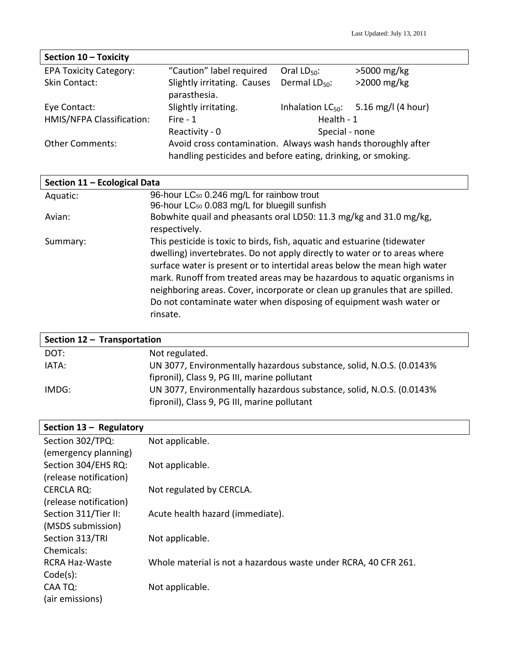| Section 10 - Toxicity         |                                                                                                                               |                    |                                           |
|-------------------------------|-------------------------------------------------------------------------------------------------------------------------------|--------------------|-------------------------------------------|
| <b>EPA Toxicity Category:</b> | "Caution" label required                                                                                                      | Oral $LD_{50}$ :   | $>5000$ mg/kg                             |
| Skin Contact:                 | Slightly irritating. Causes<br>parasthesia.                                                                                   | Dermal $LD_{50}$ : | $>2000$ mg/kg                             |
| Eye Contact:                  | Slightly irritating.                                                                                                          |                    | Inhalation $LC_{50}$ : 5.16 mg/l (4 hour) |
| HMIS/NFPA Classification:     | Fire - $1$                                                                                                                    | Health - 1         |                                           |
|                               | Reactivity - 0                                                                                                                | Special - none     |                                           |
| <b>Other Comments:</b>        | Avoid cross contamination. Always wash hands thoroughly after<br>handling pesticides and before eating, drinking, or smoking. |                    |                                           |

| Section 11 - Ecological Data |                                                                              |  |
|------------------------------|------------------------------------------------------------------------------|--|
| Aquatic:                     | 96-hour LC <sub>50</sub> 0.246 mg/L for rainbow trout                        |  |
|                              | 96-hour LC <sub>50</sub> 0.083 mg/L for bluegill sunfish                     |  |
| Avian:                       | Bobwhite quail and pheasants oral LD50: 11.3 mg/kg and 31.0 mg/kg,           |  |
|                              | respectively.                                                                |  |
| Summary:                     | This pesticide is toxic to birds, fish, aquatic and estuarine (tidewater     |  |
|                              | dwelling) invertebrates. Do not apply directly to water or to areas where    |  |
|                              | surface water is present or to intertidal areas below the mean high water    |  |
|                              | mark. Runoff from treated areas may be hazardous to aquatic organisms in     |  |
|                              | neighboring areas. Cover, incorporate or clean up granules that are spilled. |  |
|                              | Do not contaminate water when disposing of equipment wash water or           |  |
|                              | rinsate.                                                                     |  |
|                              |                                                                              |  |

| Section $12 -$ Transportation |                                                                       |  |
|-------------------------------|-----------------------------------------------------------------------|--|
| DOT:                          | Not regulated.                                                        |  |
| IATA:                         | UN 3077, Environmentally hazardous substance, solid, N.O.S. (0.0143%) |  |
|                               | fipronil), Class 9, PG III, marine pollutant                          |  |
| IMDG:                         | UN 3077, Environmentally hazardous substance, solid, N.O.S. (0.0143%) |  |
|                               | fipronil), Class 9, PG III, marine pollutant                          |  |

| Section $13 -$ Regulatory |                                                                 |
|---------------------------|-----------------------------------------------------------------|
| Section 302/TPQ:          | Not applicable.                                                 |
| (emergency planning)      |                                                                 |
| Section 304/EHS RQ:       | Not applicable.                                                 |
| (release notification)    |                                                                 |
| <b>CERCLA RQ:</b>         | Not regulated by CERCLA.                                        |
| (release notification)    |                                                                 |
| Section 311/Tier II:      | Acute health hazard (immediate).                                |
| (MSDS submission)         |                                                                 |
| Section 313/TRI           | Not applicable.                                                 |
| Chemicals:                |                                                                 |
| RCRA Haz-Waste            | Whole material is not a hazardous waste under RCRA, 40 CFR 261. |
| Code(s):                  |                                                                 |
| CAA TQ:                   | Not applicable.                                                 |
| (air emissions)           |                                                                 |